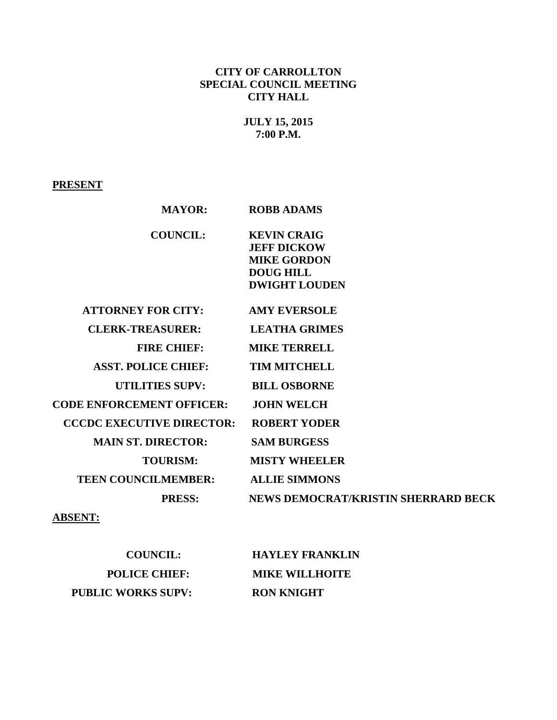# **CITY OF CARROLLTON SPECIAL COUNCIL MEETING CITY HALL**

**JULY 15, 2015 7:00 P.M.**

# **PRESENT**

| <b>MAYOR:</b>                    | <b>ROBB ADAMS</b>                                                                                          |
|----------------------------------|------------------------------------------------------------------------------------------------------------|
| <b>COUNCIL:</b>                  | <b>KEVIN CRAIG</b><br><b>JEFF DICKOW</b><br><b>MIKE GORDON</b><br><b>DOUG HILL</b><br><b>DWIGHT LOUDEN</b> |
| <b>ATTORNEY FOR CITY:</b>        | <b>AMY EVERSOLE</b>                                                                                        |
| <b>CLERK-TREASURER:</b>          | <b>LEATHA GRIMES</b>                                                                                       |
| <b>FIRE CHIEF:</b>               | <b>MIKE TERRELL</b>                                                                                        |
| <b>ASST. POLICE CHIEF:</b>       | <b>TIM MITCHELL</b>                                                                                        |
| <b>UTILITIES SUPV:</b>           | <b>BILL OSBORNE</b>                                                                                        |
| <b>CODE ENFORCEMENT OFFICER:</b> | <b>JOHN WELCH</b>                                                                                          |
| <b>CCCDC EXECUTIVE DIRECTOR:</b> | <b>ROBERT YODER</b>                                                                                        |
| <b>MAIN ST. DIRECTOR:</b>        | <b>SAM BURGESS</b>                                                                                         |
| <b>TOURISM:</b>                  | <b>MISTY WHEELER</b>                                                                                       |
| <b>TEEN COUNCILMEMBER:</b>       | <b>ALLIE SIMMONS</b>                                                                                       |
| <b>PRESS:</b>                    | NEWS DEMOCRAT/KRISTIN SHERRARD BECK                                                                        |
|                                  |                                                                                                            |

# **ABSENT:**

| <b>COUNCIL:</b>           | <b>HAYLEY FRANKLIN</b> |
|---------------------------|------------------------|
| <b>POLICE CHIEF:</b>      | <b>MIKE WILLHOITE</b>  |
| <b>PUBLIC WORKS SUPV:</b> | <b>RON KNIGHT</b>      |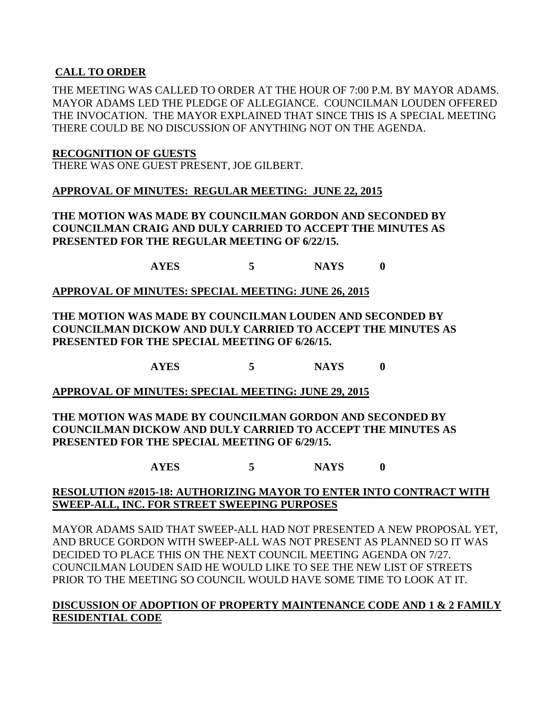### **CALL TO ORDER**

THE MEETING WAS CALLED TO ORDER AT THE HOUR OF 7:00 P.M. BY MAYOR ADAMS. MAYOR ADAMS LED THE PLEDGE OF ALLEGIANCE. COUNCILMAN LOUDEN OFFERED THE INVOCATION. THE MAYOR EXPLAINED THAT SINCE THIS IS A SPECIAL MEETING THERE COULD BE NO DISCUSSION OF ANYTHING NOT ON THE AGENDA.

#### **RECOGNITION OF GUESTS**

THERE WAS ONE GUEST PRESENT, JOE GILBERT.

#### **APPROVAL OF MINUTES: REGULAR MEETING: JUNE 22, 2015**

**THE MOTION WAS MADE BY COUNCILMAN GORDON AND SECONDED BY COUNCILMAN CRAIG AND DULY CARRIED TO ACCEPT THE MINUTES AS PRESENTED FOR THE REGULAR MEETING OF 6/22/15.**

**AYES 5 NAYS 0**

#### **APPROVAL OF MINUTES: SPECIAL MEETING: JUNE 26, 2015**

#### **THE MOTION WAS MADE BY COUNCILMAN LOUDEN AND SECONDED BY COUNCILMAN DICKOW AND DULY CARRIED TO ACCEPT THE MINUTES AS PRESENTED FOR THE SPECIAL MEETING OF 6/26/15.**

**AYES 5 NAYS 0**

#### **APPROVAL OF MINUTES: SPECIAL MEETING: JUNE 29, 2015**

### **THE MOTION WAS MADE BY COUNCILMAN GORDON AND SECONDED BY COUNCILMAN DICKOW AND DULY CARRIED TO ACCEPT THE MINUTES AS PRESENTED FOR THE SPECIAL MEETING OF 6/29/15.**

**AYES 5 NAYS 0**

### **RESOLUTION #2015-18: AUTHORIZING MAYOR TO ENTER INTO CONTRACT WITH SWEEP-ALL, INC. FOR STREET SWEEPING PURPOSES**

MAYOR ADAMS SAID THAT SWEEP-ALL HAD NOT PRESENTED A NEW PROPOSAL YET, AND BRUCE GORDON WITH SWEEP-ALL WAS NOT PRESENT AS PLANNED SO IT WAS DECIDED TO PLACE THIS ON THE NEXT COUNCIL MEETING AGENDA ON 7/27. COUNCILMAN LOUDEN SAID HE WOULD LIKE TO SEE THE NEW LIST OF STREETS PRIOR TO THE MEETING SO COUNCIL WOULD HAVE SOME TIME TO LOOK AT IT.

#### **DISCUSSION OF ADOPTION OF PROPERTY MAINTENANCE CODE AND 1 & 2 FAMILY RESIDENTIAL CODE**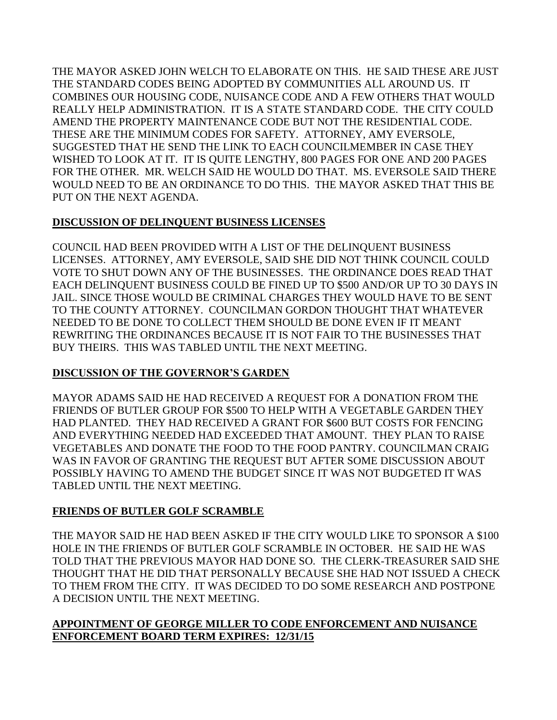THE MAYOR ASKED JOHN WELCH TO ELABORATE ON THIS. HE SAID THESE ARE JUST THE STANDARD CODES BEING ADOPTED BY COMMUNITIES ALL AROUND US. IT COMBINES OUR HOUSING CODE, NUISANCE CODE AND A FEW OTHERS THAT WOULD REALLY HELP ADMINISTRATION. IT IS A STATE STANDARD CODE. THE CITY COULD AMEND THE PROPERTY MAINTENANCE CODE BUT NOT THE RESIDENTIAL CODE. THESE ARE THE MINIMUM CODES FOR SAFETY. ATTORNEY, AMY EVERSOLE, SUGGESTED THAT HE SEND THE LINK TO EACH COUNCILMEMBER IN CASE THEY WISHED TO LOOK AT IT. IT IS QUITE LENGTHY, 800 PAGES FOR ONE AND 200 PAGES FOR THE OTHER. MR. WELCH SAID HE WOULD DO THAT. MS. EVERSOLE SAID THERE WOULD NEED TO BE AN ORDINANCE TO DO THIS. THE MAYOR ASKED THAT THIS BE PUT ON THE NEXT AGENDA.

# **DISCUSSION OF DELINQUENT BUSINESS LICENSES**

COUNCIL HAD BEEN PROVIDED WITH A LIST OF THE DELINQUENT BUSINESS LICENSES. ATTORNEY, AMY EVERSOLE, SAID SHE DID NOT THINK COUNCIL COULD VOTE TO SHUT DOWN ANY OF THE BUSINESSES. THE ORDINANCE DOES READ THAT EACH DELINQUENT BUSINESS COULD BE FINED UP TO \$500 AND/OR UP TO 30 DAYS IN JAIL. SINCE THOSE WOULD BE CRIMINAL CHARGES THEY WOULD HAVE TO BE SENT TO THE COUNTY ATTORNEY. COUNCILMAN GORDON THOUGHT THAT WHATEVER NEEDED TO BE DONE TO COLLECT THEM SHOULD BE DONE EVEN IF IT MEANT REWRITING THE ORDINANCES BECAUSE IT IS NOT FAIR TO THE BUSINESSES THAT BUY THEIRS. THIS WAS TABLED UNTIL THE NEXT MEETING.

# **DISCUSSION OF THE GOVERNOR'S GARDEN**

MAYOR ADAMS SAID HE HAD RECEIVED A REQUEST FOR A DONATION FROM THE FRIENDS OF BUTLER GROUP FOR \$500 TO HELP WITH A VEGETABLE GARDEN THEY HAD PLANTED. THEY HAD RECEIVED A GRANT FOR \$600 BUT COSTS FOR FENCING AND EVERYTHING NEEDED HAD EXCEEDED THAT AMOUNT. THEY PLAN TO RAISE VEGETABLES AND DONATE THE FOOD TO THE FOOD PANTRY. COUNCILMAN CRAIG WAS IN FAVOR OF GRANTING THE REQUEST BUT AFTER SOME DISCUSSION ABOUT POSSIBLY HAVING TO AMEND THE BUDGET SINCE IT WAS NOT BUDGETED IT WAS TABLED UNTIL THE NEXT MEETING.

# **FRIENDS OF BUTLER GOLF SCRAMBLE**

THE MAYOR SAID HE HAD BEEN ASKED IF THE CITY WOULD LIKE TO SPONSOR A \$100 HOLE IN THE FRIENDS OF BUTLER GOLF SCRAMBLE IN OCTOBER. HE SAID HE WAS TOLD THAT THE PREVIOUS MAYOR HAD DONE SO. THE CLERK-TREASURER SAID SHE THOUGHT THAT HE DID THAT PERSONALLY BECAUSE SHE HAD NOT ISSUED A CHECK TO THEM FROM THE CITY. IT WAS DECIDED TO DO SOME RESEARCH AND POSTPONE A DECISION UNTIL THE NEXT MEETING.

# **APPOINTMENT OF GEORGE MILLER TO CODE ENFORCEMENT AND NUISANCE ENFORCEMENT BOARD TERM EXPIRES: 12/31/15**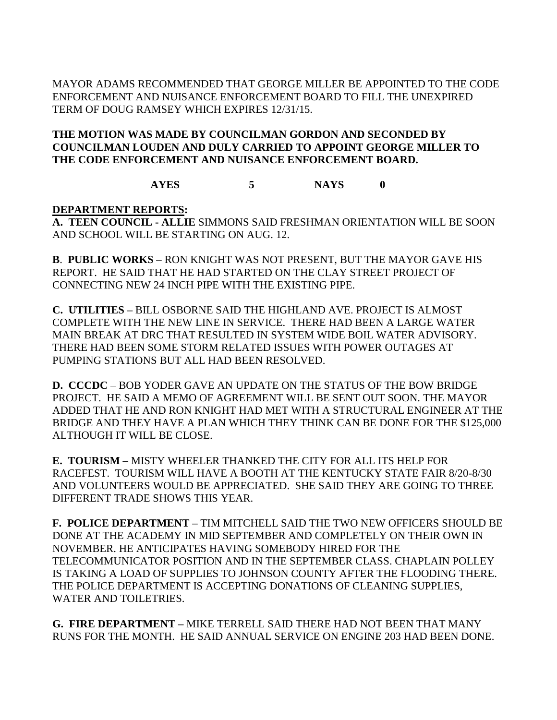MAYOR ADAMS RECOMMENDED THAT GEORGE MILLER BE APPOINTED TO THE CODE ENFORCEMENT AND NUISANCE ENFORCEMENT BOARD TO FILL THE UNEXPIRED TERM OF DOUG RAMSEY WHICH EXPIRES 12/31/15.

### **THE MOTION WAS MADE BY COUNCILMAN GORDON AND SECONDED BY COUNCILMAN LOUDEN AND DULY CARRIED TO APPOINT GEORGE MILLER TO THE CODE ENFORCEMENT AND NUISANCE ENFORCEMENT BOARD.**

# **AYES 5 NAYS 0**

# **DEPARTMENT REPORTS:**

**A. TEEN COUNCIL - ALLIE** SIMMONS SAID FRESHMAN ORIENTATION WILL BE SOON AND SCHOOL WILL BE STARTING ON AUG. 12.

**B**. **PUBLIC WORKS** – RON KNIGHT WAS NOT PRESENT, BUT THE MAYOR GAVE HIS REPORT. HE SAID THAT HE HAD STARTED ON THE CLAY STREET PROJECT OF CONNECTING NEW 24 INCH PIPE WITH THE EXISTING PIPE.

**C. UTILITIES –** BILL OSBORNE SAID THE HIGHLAND AVE. PROJECT IS ALMOST COMPLETE WITH THE NEW LINE IN SERVICE. THERE HAD BEEN A LARGE WATER MAIN BREAK AT DRC THAT RESULTED IN SYSTEM WIDE BOIL WATER ADVISORY. THERE HAD BEEN SOME STORM RELATED ISSUES WITH POWER OUTAGES AT PUMPING STATIONS BUT ALL HAD BEEN RESOLVED.

**D. CCCDC** – BOB YODER GAVE AN UPDATE ON THE STATUS OF THE BOW BRIDGE PROJECT. HE SAID A MEMO OF AGREEMENT WILL BE SENT OUT SOON. THE MAYOR ADDED THAT HE AND RON KNIGHT HAD MET WITH A STRUCTURAL ENGINEER AT THE BRIDGE AND THEY HAVE A PLAN WHICH THEY THINK CAN BE DONE FOR THE \$125,000 ALTHOUGH IT WILL BE CLOSE.

**E. TOURISM –** MISTY WHEELER THANKED THE CITY FOR ALL ITS HELP FOR RACEFEST. TOURISM WILL HAVE A BOOTH AT THE KENTUCKY STATE FAIR 8/20-8/30 AND VOLUNTEERS WOULD BE APPRECIATED. SHE SAID THEY ARE GOING TO THREE DIFFERENT TRADE SHOWS THIS YEAR.

**F. POLICE DEPARTMENT –** TIM MITCHELL SAID THE TWO NEW OFFICERS SHOULD BE DONE AT THE ACADEMY IN MID SEPTEMBER AND COMPLETELY ON THEIR OWN IN NOVEMBER. HE ANTICIPATES HAVING SOMEBODY HIRED FOR THE TELECOMMUNICATOR POSITION AND IN THE SEPTEMBER CLASS. CHAPLAIN POLLEY IS TAKING A LOAD OF SUPPLIES TO JOHNSON COUNTY AFTER THE FLOODING THERE. THE POLICE DEPARTMENT IS ACCEPTING DONATIONS OF CLEANING SUPPLIES, WATER AND TOILETRIES.

**G. FIRE DEPARTMENT –** MIKE TERRELL SAID THERE HAD NOT BEEN THAT MANY RUNS FOR THE MONTH. HE SAID ANNUAL SERVICE ON ENGINE 203 HAD BEEN DONE.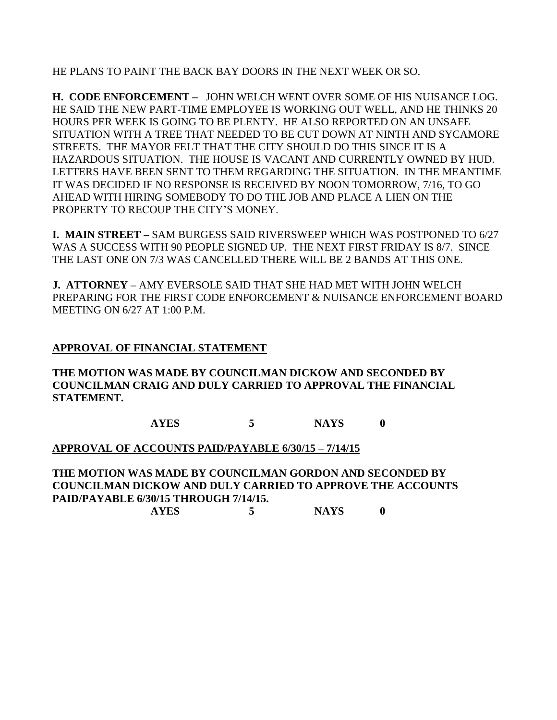HE PLANS TO PAINT THE BACK BAY DOORS IN THE NEXT WEEK OR SO.

**H. CODE ENFORCEMENT –** JOHN WELCH WENT OVER SOME OF HIS NUISANCE LOG. HE SAID THE NEW PART-TIME EMPLOYEE IS WORKING OUT WELL, AND HE THINKS 20 HOURS PER WEEK IS GOING TO BE PLENTY. HE ALSO REPORTED ON AN UNSAFE SITUATION WITH A TREE THAT NEEDED TO BE CUT DOWN AT NINTH AND SYCAMORE STREETS. THE MAYOR FELT THAT THE CITY SHOULD DO THIS SINCE IT IS A HAZARDOUS SITUATION. THE HOUSE IS VACANT AND CURRENTLY OWNED BY HUD. LETTERS HAVE BEEN SENT TO THEM REGARDING THE SITUATION. IN THE MEANTIME IT WAS DECIDED IF NO RESPONSE IS RECEIVED BY NOON TOMORROW, 7/16, TO GO AHEAD WITH HIRING SOMEBODY TO DO THE JOB AND PLACE A LIEN ON THE PROPERTY TO RECOUP THE CITY'S MONEY.

**I. MAIN STREET –** SAM BURGESS SAID RIVERSWEEP WHICH WAS POSTPONED TO 6/27 WAS A SUCCESS WITH 90 PEOPLE SIGNED UP. THE NEXT FIRST FRIDAY IS 8/7. SINCE THE LAST ONE ON 7/3 WAS CANCELLED THERE WILL BE 2 BANDS AT THIS ONE.

**J. ATTORNEY –** AMY EVERSOLE SAID THAT SHE HAD MET WITH JOHN WELCH PREPARING FOR THE FIRST CODE ENFORCEMENT & NUISANCE ENFORCEMENT BOARD MEETING ON 6/27 AT 1:00 P.M.

### **APPROVAL OF FINANCIAL STATEMENT**

**THE MOTION WAS MADE BY COUNCILMAN DICKOW AND SECONDED BY COUNCILMAN CRAIG AND DULY CARRIED TO APPROVAL THE FINANCIAL STATEMENT.**

**AYES 5 NAYS 0**

**APPROVAL OF ACCOUNTS PAID/PAYABLE 6/30/15 – 7/14/15**

**THE MOTION WAS MADE BY COUNCILMAN GORDON AND SECONDED BY COUNCILMAN DICKOW AND DULY CARRIED TO APPROVE THE ACCOUNTS PAID/PAYABLE 6/30/15 THROUGH 7/14/15.**

**AYES 5 NAYS 0**